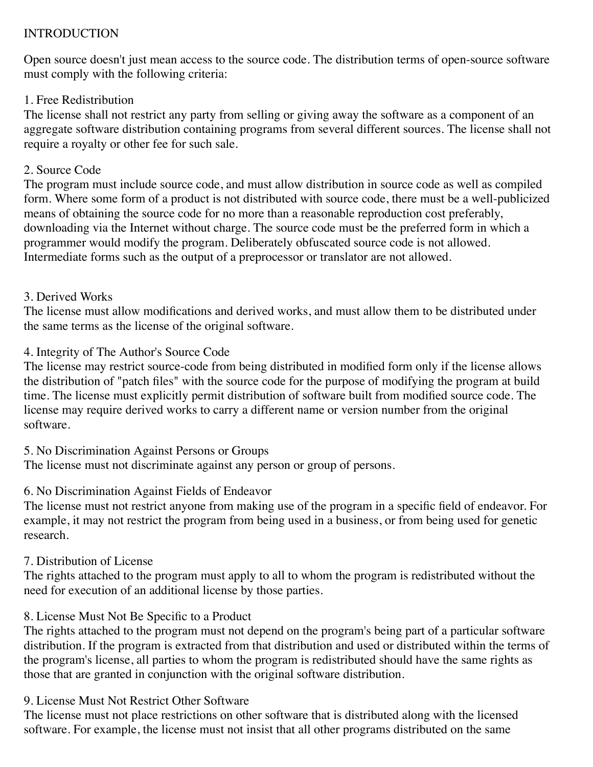# INTRODUCTION

Open source doesn't just mean access to the source code. The distribution terms of open-source software must comply with the following criteria:

## 1. Free Redistribution

The license shall not restrict any party from selling or giving away the software as a component of an aggregate software distribution containing programs from several different sources. The license shall not require a royalty or other fee for such sale.

## 2. Source Code

The program must include source code, and must allow distribution in source code as well as compiled form. Where some form of a product is not distributed with source code, there must be a well-publicized means of obtaining the source code for no more than a reasonable reproduction cost preferably, downloading via the Internet without charge. The source code must be the preferred form in which a programmer would modify the program. Deliberately obfuscated source code is not allowed. Intermediate forms such as the output of a preprocessor or translator are not allowed.

# 3. Derived Works

The license must allow modifications and derived works, and must allow them to be distributed under the same terms as the license of the original software.

# 4. Integrity of The Author's Source Code

The license may restrict source-code from being distributed in modified form only if the license allows the distribution of "patch files" with the source code for the purpose of modifying the program at build time. The license must explicitly permit distribution of software built from modified source code. The license may require derived works to carry a different name or version number from the original software.

# 5. No Discrimination Against Persons or Groups

The license must not discriminate against any person or group of persons.

# 6. No Discrimination Against Fields of Endeavor

The license must not restrict anyone from making use of the program in a specific field of endeavor. For example, it may not restrict the program from being used in a business, or from being used for genetic research.

# 7. Distribution of License

The rights attached to the program must apply to all to whom the program is redistributed without the need for execution of an additional license by those parties.

# 8. License Must Not Be Specific to a Product

The rights attached to the program must not depend on the program's being part of a particular software distribution. If the program is extracted from that distribution and used or distributed within the terms of the program's license, all parties to whom the program is redistributed should have the same rights as those that are granted in conjunction with the original software distribution.

# 9. License Must Not Restrict Other Software

The license must not place restrictions on other software that is distributed along with the licensed software. For example, the license must not insist that all other programs distributed on the same